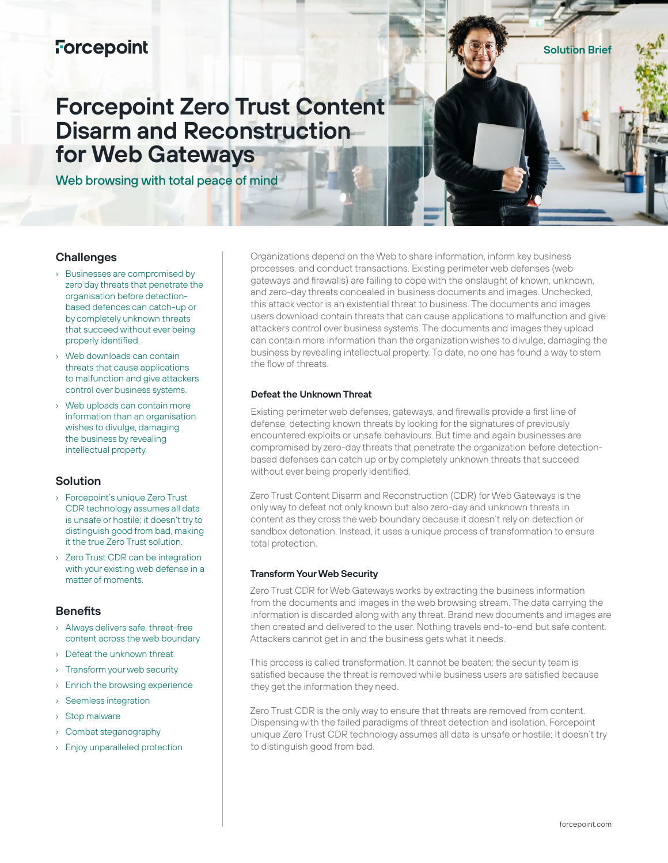# **Forcepoint**

**Solution Brief**

# **Forcepoint Zero Trust Content Disarm and Reconstruction for Web Gateways**

Web browsing with total peace of mind

# **Challenges**

- Businesses are compromised by zero day threats that penetrate the organisation before detectionbased defences can catch-up or by completely unknown threats that succeed without ever being properly identified.
- Web downloads can contain threats that cause applications to malfunction and give attackers control over business systems.
- › Web uploads can contain more information than an organisation wishes to divulge, damaging the business by revealing intellectual property.

# **Solution**

- › Forcepoint's unique Zero Trust CDR technology assumes all data is unsafe or hostile; it doesn't try to distinguish good from bad, making it the true Zero Trust solution.
- › Zero Trust CDR can be integration with your existing web defense in a matter of moments.

#### **Benefits**

- › Always delivers safe, threat-free content across the web boundary
- Defeat the unknown threat
- › Transform your web security
- › Enrich the browsing experience
- › Seemless integration
- › Stop malware
- › Combat steganography
- › Enjoy unparalleled protection

Organizations depend on the Web to share information, inform key business processes, and conduct transactions. Existing perimeter web defenses (web gateways and firewalls) are failing to cope with the onslaught of known, unknown, and zero-day threats concealed in business documents and images. Unchecked, this attack vector is an existential threat to business. The documents and images users download contain threats that can cause applications to malfunction and give attackers control over business systems. The documents and images they upload can contain more information than the organization wishes to divulge, damaging the business by revealing intellectual property. To date, no one has found a way to stem the flow of threats.

### **Defeat the Unknown Threat**

Existing perimeter web defenses, gateways, and firewalls provide a first line of defense, detecting known threats by looking for the signatures of previously encountered exploits or unsafe behaviours. But time and again businesses are compromised by zero-day threats that penetrate the organization before detectionbased defenses can catch up or by completely unknown threats that succeed without ever being properly identified.

Zero Trust Content Disarm and Reconstruction (CDR) for Web Gateways is the only way to defeat not only known but also zero-day and unknown threats in content as they cross the web boundary because it doesn't rely on detection or sandbox detonation. Instead, it uses a unique process of transformation to ensure total protection.

#### **Transform Your Web Security**

Zero Trust CDR for Web Gateways works by extracting the business information from the documents and images in the web browsing stream. The data carrying the information is discarded along with any threat. Brand new documents and images are then created and delivered to the user. Nothing travels end-to-end but safe content. Attackers cannot get in and the business gets what it needs.

This process is called transformation. It cannot be beaten; the security team is satisfied because the threat is removed while business users are satisfied because they get the information they need.

Zero Trust CDR is the only way to ensure that threats are removed from content. Dispensing with the failed paradigms of threat detection and isolation, Forcepoint unique Zero Trust CDR technology assumes all data is unsafe or hostile; it doesn't try to distinguish good from bad.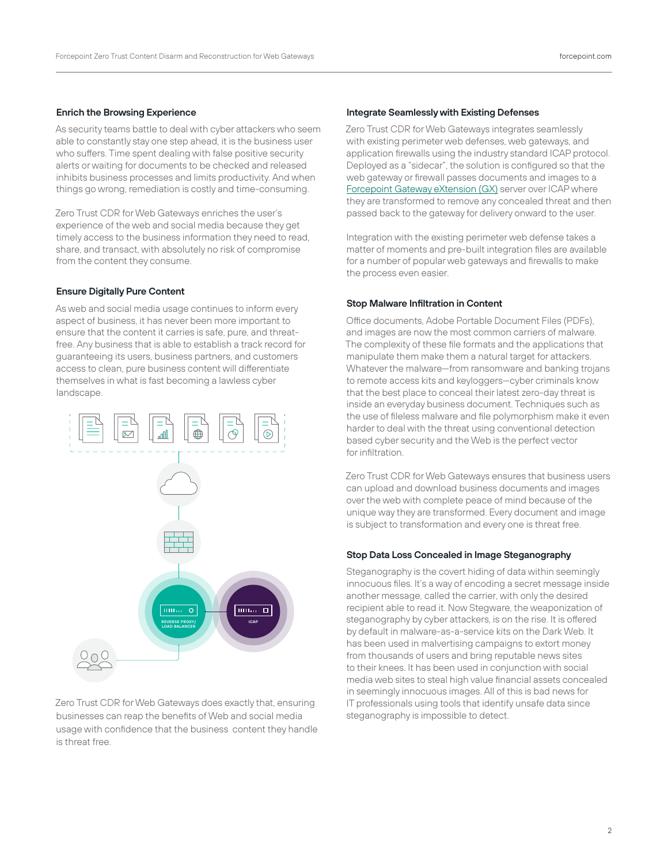#### **Enrich the Browsing Experience**

As security teams battle to deal with cyber attackers who seem able to constantly stay one step ahead, it is the business user who suffers. Time spent dealing with false positive security alerts or waiting for documents to be checked and released inhibits business processes and limits productivity. And when things go wrong, remediation is costly and time-consuming.

Zero Trust CDR for Web Gateways enriches the user's experience of the web and social media because they get timely access to the business information they need to read, share, and transact, with absolutely no risk of compromise from the content they consume.

#### **Ensure Digitally Pure Content**

As web and social media usage continues to inform every aspect of business, it has never been more important to ensure that the content it carries is safe, pure, and threatfree. Any business that is able to establish a track record for guaranteeing its users, business partners, and customers access to clean, pure business content will differentiate themselves in what is fast becoming a lawless cyber landscape.



Zero Trust CDR for Web Gateways does exactly that, ensuring businesses can reap the benefits of Web and social media usage with confidence that the business content they handle is threat free.

#### **Integrate Seamlessly with Existing Defenses**

Zero Trust CDR for Web Gateways integrates seamlessly with existing perimeter web defenses, web gateways, and application firewalls using the industry standard ICAP protocol. Deployed as a "sidecar", the solution is configured so that the web gateway or firewall passes documents and images to a [Forcepoint Gateway eXtension \(GX\)](https://www.forcepoint.com/sites/default/files/resources/datasheets/datasheet-forcepoint-gateway-extension-en_0_0.pdf) server over ICAP where they are transformed to remove any concealed threat and then passed back to the gateway for delivery onward to the user.

Integration with the existing perimeter web defense takes a matter of moments and pre-built integration files are available for a number of popular web gateways and firewalls to make the process even easier.

#### **Stop Malware Infiltration in Content**

Office documents, Adobe Portable Document Files (PDFs), and images are now the most common carriers of malware. The complexity of these file formats and the applications that manipulate them make them a natural target for attackers. Whatever the malware—from ransomware and banking trojans to remote access kits and keyloggers—cyber criminals know that the best place to conceal their latest zero-day threat is inside an everyday business document. Techniques such as the use of fileless malware and file polymorphism make it even harder to deal with the threat using conventional detection based cyber security and the Web is the perfect vector for infiltration.

Zero Trust CDR for Web Gateways ensures that business users can upload and download business documents and images over the web with complete peace of mind because of the unique way they are transformed. Every document and image is subject to transformation and every one is threat free.

#### **Stop Data Loss Concealed in Image Steganography**

Steganography is the covert hiding of data within seemingly innocuous files. It's a way of encoding a secret message inside another message, called the carrier, with only the desired recipient able to read it. Now Stegware, the weaponization of steganography by cyber attackers, is on the rise. It is offered by default in malware-as-a-service kits on the Dark Web. It has been used in malvertising campaigns to extort money from thousands of users and bring reputable news sites to their knees. It has been used in conjunction with social media web sites to steal high value financial assets concealed in seemingly innocuous images. All of this is bad news for IT professionals using tools that identify unsafe data since steganography is impossible to detect.